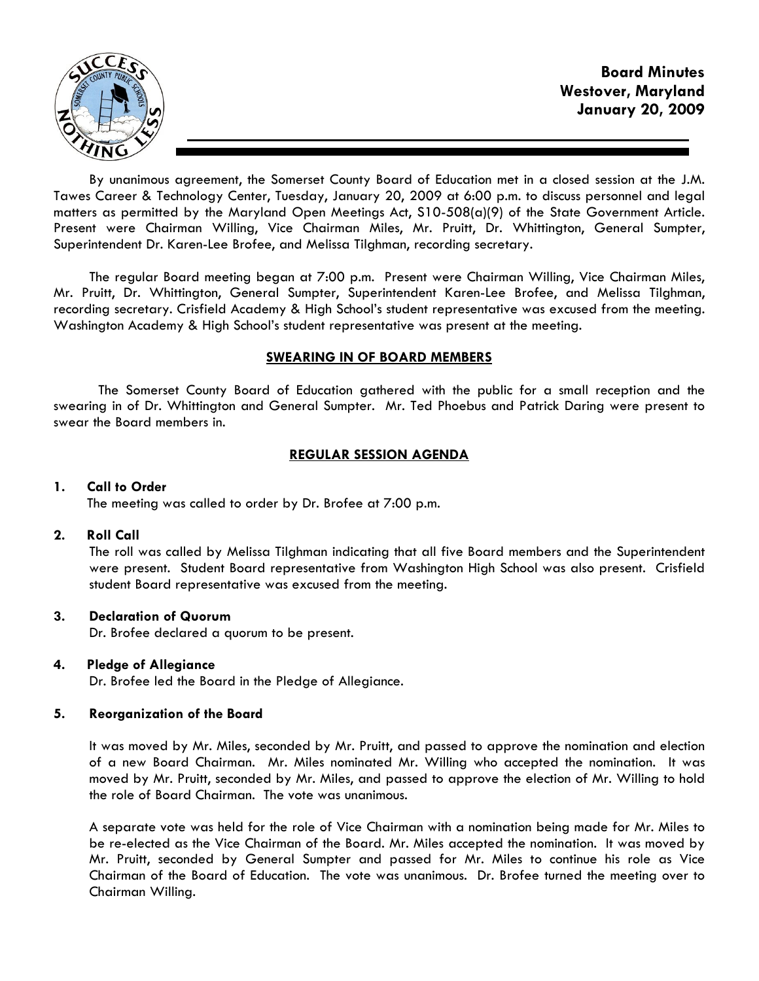

By unanimous agreement, the Somerset County Board of Education met in a closed session at the J.M. Tawes Career & Technology Center, Tuesday, January 20, 2009 at 6:00 p.m. to discuss personnel and legal matters as permitted by the Maryland Open Meetings Act, S10-508(a)(9) of the State Government Article. Present were Chairman Willing, Vice Chairman Miles, Mr. Pruitt, Dr. Whittington, General Sumpter, Superintendent Dr. Karen-Lee Brofee, and Melissa Tilghman, recording secretary.

The regular Board meeting began at 7:00 p.m. Present were Chairman Willing, Vice Chairman Miles, Mr. Pruitt, Dr. Whittington, General Sumpter, Superintendent Karen-Lee Brofee, and Melissa Tilghman, recording secretary. Crisfield Academy & High School's student representative was excused from the meeting. Washington Academy & High School's student representative was present at the meeting.

# SWEARING IN OF BOARD MEMBERS

 The Somerset County Board of Education gathered with the public for a small reception and the swearing in of Dr. Whittington and General Sumpter. Mr. Ted Phoebus and Patrick Daring were present to swear the Board members in.

# REGULAR SESSION AGENDA

# 1. Call to Order

The meeting was called to order by Dr. Brofee at 7:00 p.m.

# 2. Roll Call

The roll was called by Melissa Tilghman indicating that all five Board members and the Superintendent were present. Student Board representative from Washington High School was also present. Crisfield student Board representative was excused from the meeting.

# 3. Declaration of Quorum

Dr. Brofee declared a quorum to be present.

# 4. Pledge of Allegiance

Dr. Brofee led the Board in the Pledge of Allegiance.

# 5. Reorganization of the Board

It was moved by Mr. Miles, seconded by Mr. Pruitt, and passed to approve the nomination and election of a new Board Chairman. Mr. Miles nominated Mr. Willing who accepted the nomination. It was moved by Mr. Pruitt, seconded by Mr. Miles, and passed to approve the election of Mr. Willing to hold the role of Board Chairman. The vote was unanimous.

A separate vote was held for the role of Vice Chairman with a nomination being made for Mr. Miles to be re-elected as the Vice Chairman of the Board. Mr. Miles accepted the nomination. It was moved by Mr. Pruitt, seconded by General Sumpter and passed for Mr. Miles to continue his role as Vice Chairman of the Board of Education. The vote was unanimous. Dr. Brofee turned the meeting over to Chairman Willing.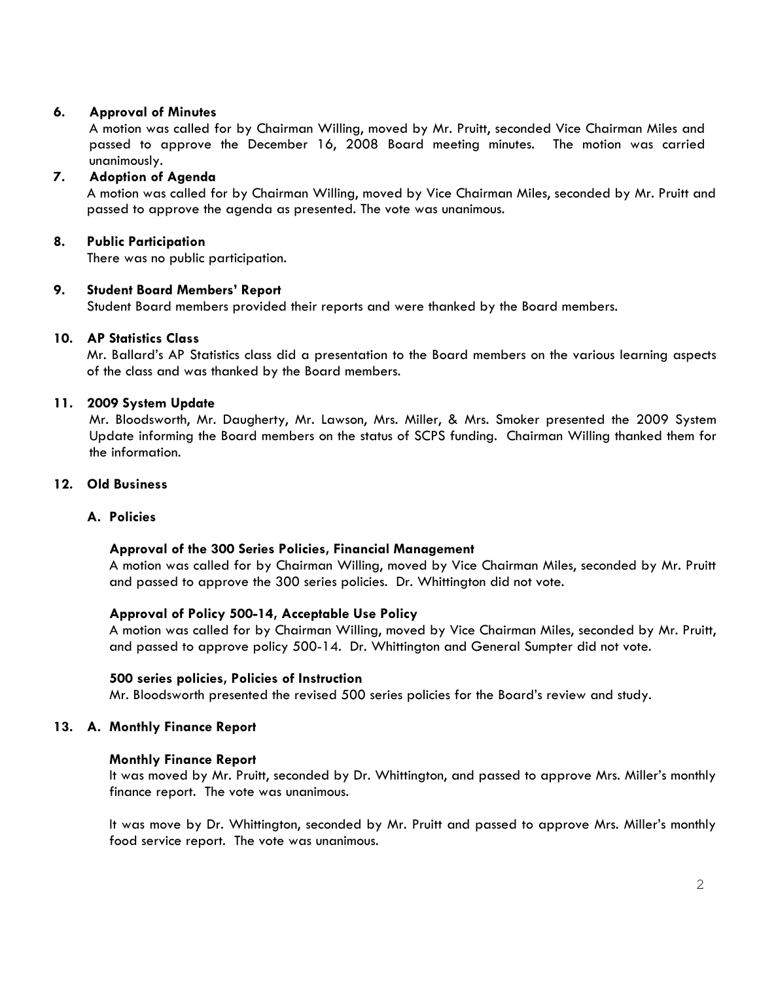# 6. Approval of Minutes

 A motion was called for by Chairman Willing, moved by Mr. Pruitt, seconded Vice Chairman Miles and passed to approve the December 16, 2008 Board meeting minutes. The motion was carried unanimously.

# 7. Adoption of Agenda

 A motion was called for by Chairman Willing, moved by Vice Chairman Miles, seconded by Mr. Pruitt and passed to approve the agenda as presented. The vote was unanimous.

# 8. Public Participation

There was no public participation.

# 9. Student Board Members' Report

Student Board members provided their reports and were thanked by the Board members.

# 10. AP Statistics Class

 Mr. Ballard's AP Statistics class did a presentation to the Board members on the various learning aspects of the class and was thanked by the Board members.

# 11. 2009 System Update

 Mr. Bloodsworth, Mr. Daugherty, Mr. Lawson, Mrs. Miller, & Mrs. Smoker presented the 2009 System Update informing the Board members on the status of SCPS funding. Chairman Willing thanked them for the information.

# 12. Old Business

# A. Policies

# Approval of the 300 Series Policies, Financial Management

A motion was called for by Chairman Willing, moved by Vice Chairman Miles, seconded by Mr. Pruitt and passed to approve the 300 series policies. Dr. Whittington did not vote.

# Approval of Policy 500-14, Acceptable Use Policy

A motion was called for by Chairman Willing, moved by Vice Chairman Miles, seconded by Mr. Pruitt, and passed to approve policy 500-14. Dr. Whittington and General Sumpter did not vote.

#### 500 series policies, Policies of Instruction

Mr. Bloodsworth presented the revised 500 series policies for the Board's review and study.

# 13. A. Monthly Finance Report

#### Monthly Finance Report

It was moved by Mr. Pruitt, seconded by Dr. Whittington, and passed to approve Mrs. Miller's monthly finance report. The vote was unanimous.

It was move by Dr. Whittington, seconded by Mr. Pruitt and passed to approve Mrs. Miller's monthly food service report. The vote was unanimous.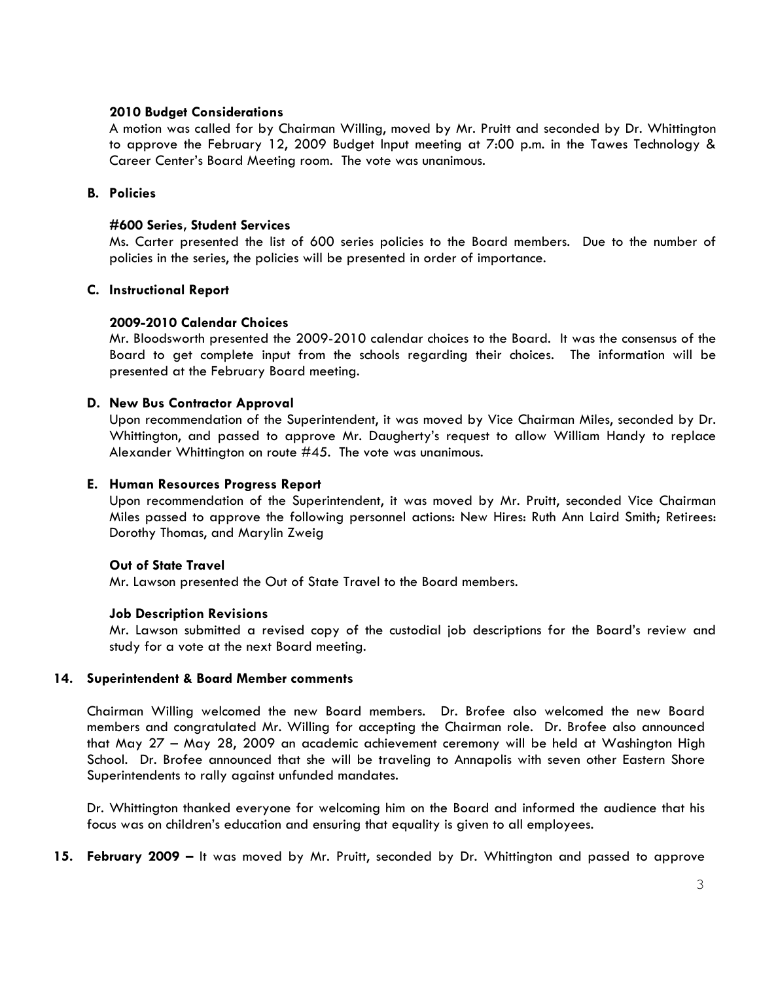# 2010 Budget Considerations

A motion was called for by Chairman Willing, moved by Mr. Pruitt and seconded by Dr. Whittington to approve the February 12, 2009 Budget Input meeting at 7:00 p.m. in the Tawes Technology & Career Center's Board Meeting room. The vote was unanimous.

# B. Policies

# #600 Series, Student Services

Ms. Carter presented the list of 600 series policies to the Board members. Due to the number of policies in the series, the policies will be presented in order of importance.

# C. Instructional Report

# 2009-2010 Calendar Choices

 Mr. Bloodsworth presented the 2009-2010 calendar choices to the Board. It was the consensus of the Board to get complete input from the schools regarding their choices. The information will be presented at the February Board meeting.

# D. New Bus Contractor Approval

Upon recommendation of the Superintendent, it was moved by Vice Chairman Miles, seconded by Dr. Whittington, and passed to approve Mr. Daugherty's request to allow William Handy to replace Alexander Whittington on route #45. The vote was unanimous.

# E. Human Resources Progress Report

Upon recommendation of the Superintendent, it was moved by Mr. Pruitt, seconded Vice Chairman Miles passed to approve the following personnel actions: New Hires: Ruth Ann Laird Smith; Retirees: Dorothy Thomas, and Marylin Zweig

# Out of State Travel

Mr. Lawson presented the Out of State Travel to the Board members.

# Job Description Revisions

Mr. Lawson submitted a revised copy of the custodial job descriptions for the Board's review and study for a vote at the next Board meeting.

# 14. Superintendent & Board Member comments

Chairman Willing welcomed the new Board members. Dr. Brofee also welcomed the new Board members and congratulated Mr. Willing for accepting the Chairman role. Dr. Brofee also announced that May 27 – May 28, 2009 an academic achievement ceremony will be held at Washington High School. Dr. Brofee announced that she will be traveling to Annapolis with seven other Eastern Shore Superintendents to rally against unfunded mandates.

Dr. Whittington thanked everyone for welcoming him on the Board and informed the audience that his focus was on children's education and ensuring that equality is given to all employees.

15. February 2009 – It was moved by Mr. Pruitt, seconded by Dr. Whittington and passed to approve